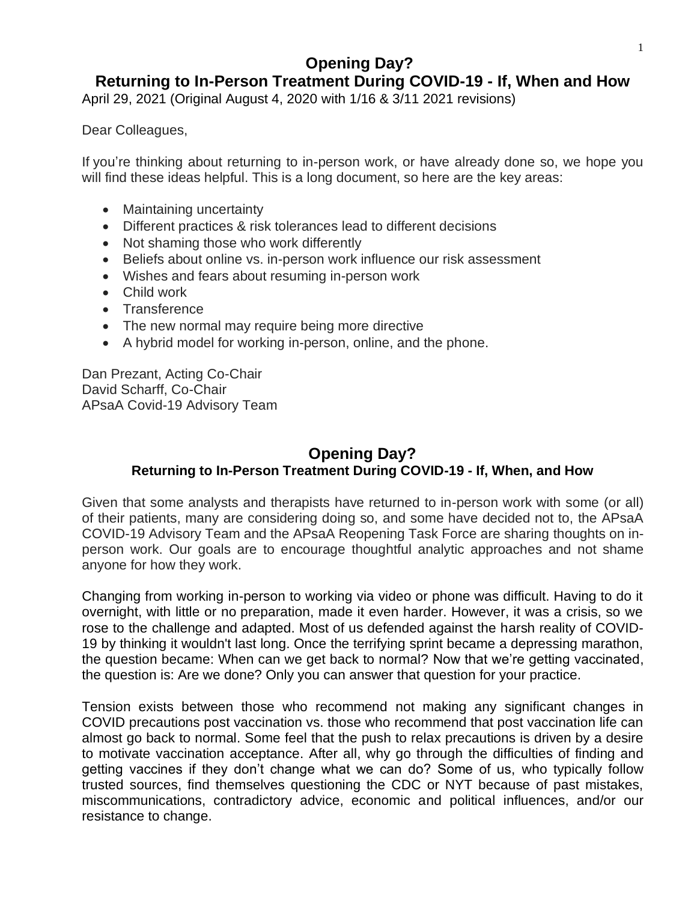# **Opening Day?**

# **Returning to In-Person Treatment During COVID-19 - If, When and How**

April 29, 2021 (Original August 4, 2020 with 1/16 & 3/11 2021 revisions)

Dear Colleagues,

If you're thinking about returning to in-person work, or have already done so, we hope you will find these ideas helpful. This is a long document, so here are the key areas:

- Maintaining uncertainty
- Different practices & risk tolerances lead to different decisions
- Not shaming those who work differently
- Beliefs about online vs. in-person work influence our risk assessment
- Wishes and fears about resuming in-person work
- Child work
- Transference
- The new normal may require being more directive
- A hybrid model for working in-person, online, and the phone.

Dan Prezant, Acting Co-Chair David Scharff, Co-Chair APsaA Covid-19 Advisory Team

## **Opening Day? Returning to In-Person Treatment During COVID-19 - If, When, and How**

Given that some analysts and therapists have returned to in-person work with some (or all) of their patients, many are considering doing so, and some have decided not to, the APsaA COVID-19 Advisory Team and the APsaA Reopening Task Force are sharing thoughts on inperson work. Our goals are to encourage thoughtful analytic approaches and not shame anyone for how they work.

Changing from working in-person to working via video or phone was difficult. Having to do it overnight, with little or no preparation, made it even harder. However, it was a crisis, so we rose to the challenge and adapted. Most of us defended against the harsh reality of COVID-19 by thinking it wouldn't last long. Once the terrifying sprint became a depressing marathon, the question became: When can we get back to normal? Now that we're getting vaccinated, the question is: Are we done? Only you can answer that question for your practice.

Tension exists between those who recommend not making any significant changes in COVID precautions post vaccination vs. those who recommend that post vaccination life can almost go back to normal. Some feel that the push to relax precautions is driven by a desire to motivate vaccination acceptance. After all, why go through the difficulties of finding and getting vaccines if they don't change what we can do? Some of us, who typically follow trusted sources, find themselves questioning the CDC or NYT because of past mistakes, miscommunications, contradictory advice, economic and political influences, and/or our resistance to change.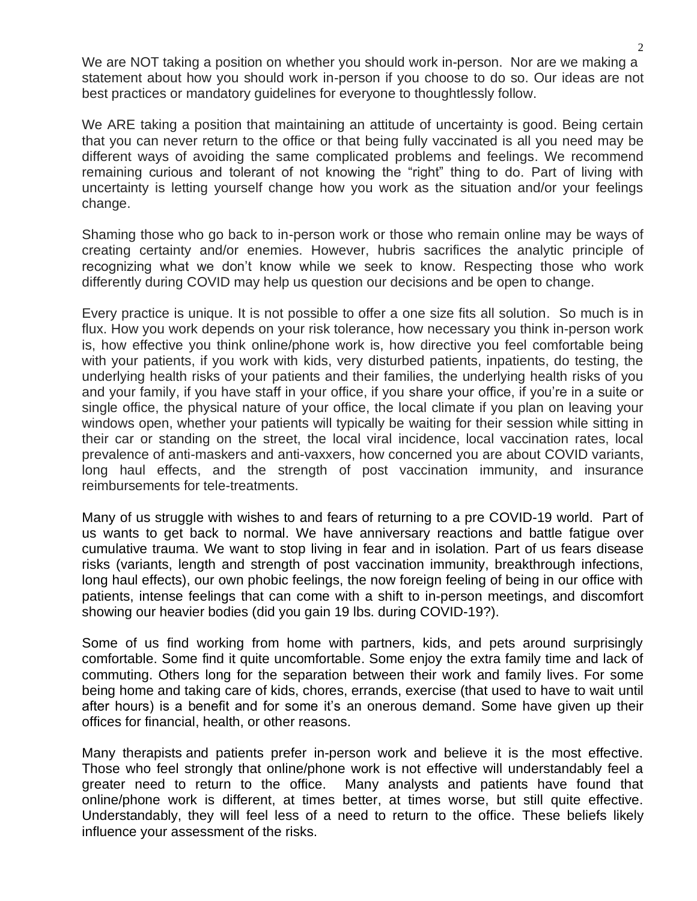We are NOT taking a position on whether you should work in-person. Nor are we making a statement about how you should work in-person if you choose to do so. Our ideas are not best practices or mandatory guidelines for everyone to thoughtlessly follow.

We ARE taking a position that maintaining an attitude of uncertainty is good. Being certain that you can never return to the office or that being fully vaccinated is all you need may be different ways of avoiding the same complicated problems and feelings. We recommend remaining curious and tolerant of not knowing the "right" thing to do. Part of living with uncertainty is letting yourself change how you work as the situation and/or your feelings change.

Shaming those who go back to in-person work or those who remain online may be ways of creating certainty and/or enemies. However, hubris sacrifices the analytic principle of recognizing what we don't know while we seek to know. Respecting those who work differently during COVID may help us question our decisions and be open to change.

Every practice is unique. It is not possible to offer a one size fits all solution. So much is in flux. How you work depends on your risk tolerance, how necessary you think in-person work is, how effective you think online/phone work is, how directive you feel comfortable being with your patients, if you work with kids, very disturbed patients, inpatients, do testing, the underlying health risks of your patients and their families, the underlying health risks of you and your family, if you have staff in your office, if you share your office, if you're in a suite or single office, the physical nature of your office, the local climate if you plan on leaving your windows open, whether your patients will typically be waiting for their session while sitting in their car or standing on the street, the local viral incidence, local vaccination rates, local prevalence of anti-maskers and anti-vaxxers, how concerned you are about COVID variants, long haul effects, and the strength of post vaccination immunity, and insurance reimbursements for tele-treatments.

Many of us struggle with wishes to and fears of returning to a pre COVID-19 world. Part of us wants to get back to normal. We have anniversary reactions and battle fatigue over cumulative trauma. We want to stop living in fear and in isolation. Part of us fears disease risks (variants, length and strength of post vaccination immunity, breakthrough infections, long haul effects), our own phobic feelings, the now foreign feeling of being in our office with patients, intense feelings that can come with a shift to in-person meetings, and discomfort showing our heavier bodies (did you gain 19 lbs. during COVID-19?).

Some of us find working from home with partners, kids, and pets around surprisingly comfortable. Some find it quite uncomfortable. Some enjoy the extra family time and lack of commuting. Others long for the separation between their work and family lives. For some being home and taking care of kids, chores, errands, exercise (that used to have to wait until after hours) is a benefit and for some it's an onerous demand. Some have given up their offices for financial, health, or other reasons.

Many therapists and patients prefer in-person work and believe it is the most effective. Those who feel strongly that online/phone work is not effective will understandably feel a greater need to return to the office. Many analysts and patients have found that online/phone work is different, at times better, at times worse, but still quite effective. Understandably, they will feel less of a need to return to the office. These beliefs likely influence your assessment of the risks.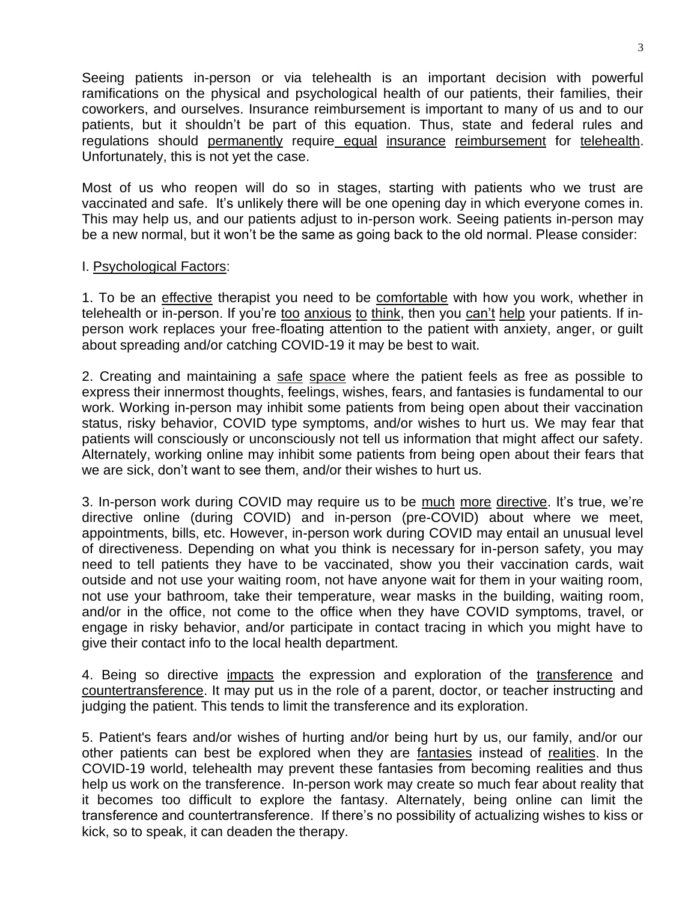Seeing patients in-person or via telehealth is an important decision with powerful ramifications on the physical and psychological health of our patients, their families, their coworkers, and ourselves. Insurance reimbursement is important to many of us and to our patients, but it shouldn't be part of this equation. Thus, state and federal rules and regulations should permanently require equal insurance reimbursement for telehealth. Unfortunately, this is not yet the case.

Most of us who reopen will do so in stages, starting with patients who we trust are vaccinated and safe. It's unlikely there will be one opening day in which everyone comes in. This may help us, and our patients adjust to in-person work. Seeing patients in-person may be a new normal, but it won't be the same as going back to the old normal. Please consider:

#### I. Psychological Factors:

1. To be an effective therapist you need to be comfortable with how you work, whether in telehealth or in-person. If you're too anxious to think, then you can't help your patients. If inperson work replaces your free-floating attention to the patient with anxiety, anger, or guilt about spreading and/or catching COVID-19 it may be best to wait.

2. Creating and maintaining a safe space where the patient feels as free as possible to express their innermost thoughts, feelings, wishes, fears, and fantasies is fundamental to our work. Working in-person may inhibit some patients from being open about their vaccination status, risky behavior, COVID type symptoms, and/or wishes to hurt us. We may fear that patients will consciously or unconsciously not tell us information that might affect our safety. Alternately, working online may inhibit some patients from being open about their fears that we are sick, don't want to see them, and/or their wishes to hurt us.

3. In-person work during COVID may require us to be much more directive. It's true, we're directive online (during COVID) and in-person (pre-COVID) about where we meet, appointments, bills, etc. However, in-person work during COVID may entail an unusual level of directiveness. Depending on what you think is necessary for in-person safety, you may need to tell patients they have to be vaccinated, show you their vaccination cards, wait outside and not use your waiting room, not have anyone wait for them in your waiting room, not use your bathroom, take their temperature, wear masks in the building, waiting room, and/or in the office, not come to the office when they have COVID symptoms, travel, or engage in risky behavior, and/or participate in contact tracing in which you might have to give their contact info to the local health department.

4. Being so directive impacts the expression and exploration of the transference and countertransference. It may put us in the role of a parent, doctor, or teacher instructing and judging the patient. This tends to limit the transference and its exploration.

5. Patient's fears and/or wishes of hurting and/or being hurt by us, our family, and/or our other patients can best be explored when they are fantasies instead of realities. In the COVID-19 world, telehealth may prevent these fantasies from becoming realities and thus help us work on the transference. In-person work may create so much fear about reality that it becomes too difficult to explore the fantasy. Alternately, being online can limit the transference and countertransference. If there's no possibility of actualizing wishes to kiss or kick, so to speak, it can deaden the therapy.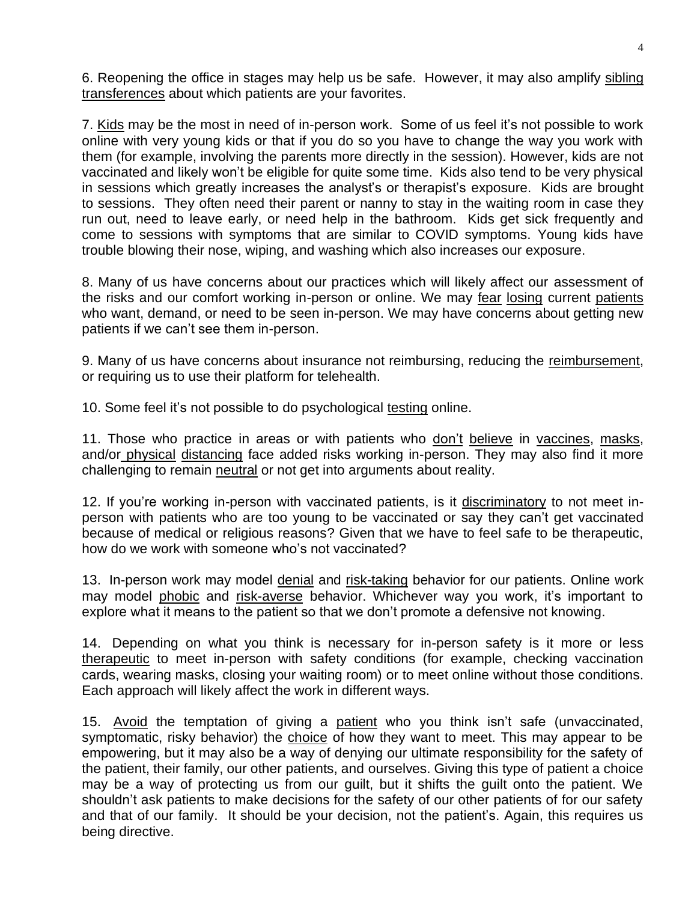6. Reopening the office in stages may help us be safe. However, it may also amplify sibling transferences about which patients are your favorites.

7. Kids may be the most in need of in-person work. Some of us feel it's not possible to work online with very young kids or that if you do so you have to change the way you work with them (for example, involving the parents more directly in the session). However, kids are not vaccinated and likely won't be eligible for quite some time. Kids also tend to be very physical in sessions which greatly increases the analyst's or therapist's exposure. Kids are brought to sessions. They often need their parent or nanny to stay in the waiting room in case they run out, need to leave early, or need help in the bathroom. Kids get sick frequently and come to sessions with symptoms that are similar to COVID symptoms. Young kids have trouble blowing their nose, wiping, and washing which also increases our exposure.

8. Many of us have concerns about our practices which will likely affect our assessment of the risks and our comfort working in-person or online. We may fear losing current patients who want, demand, or need to be seen in-person. We may have concerns about getting new patients if we can't see them in-person.

9. Many of us have concerns about insurance not reimbursing, reducing the reimbursement, or requiring us to use their platform for telehealth.

10. Some feel it's not possible to do psychological testing online.

11. Those who practice in areas or with patients who don't believe in vaccines, masks, and/or physical distancing face added risks working in-person. They may also find it more challenging to remain neutral or not get into arguments about reality.

12. If you're working in-person with vaccinated patients, is it discriminatory to not meet inperson with patients who are too young to be vaccinated or say they can't get vaccinated because of medical or religious reasons? Given that we have to feel safe to be therapeutic, how do we work with someone who's not vaccinated?

13. In-person work may model denial and risk-taking behavior for our patients. Online work may model phobic and risk-averse behavior. Whichever way you work, it's important to explore what it means to the patient so that we don't promote a defensive not knowing.

14. Depending on what you think is necessary for in-person safety is it more or less therapeutic to meet in-person with safety conditions (for example, checking vaccination cards, wearing masks, closing your waiting room) or to meet online without those conditions. Each approach will likely affect the work in different ways.

15. Avoid the temptation of giving a patient who you think isn't safe (unvaccinated, symptomatic, risky behavior) the choice of how they want to meet. This may appear to be empowering, but it may also be a way of denying our ultimate responsibility for the safety of the patient, their family, our other patients, and ourselves. Giving this type of patient a choice may be a way of protecting us from our guilt, but it shifts the guilt onto the patient. We shouldn't ask patients to make decisions for the safety of our other patients of for our safety and that of our family. It should be your decision, not the patient's. Again, this requires us being directive.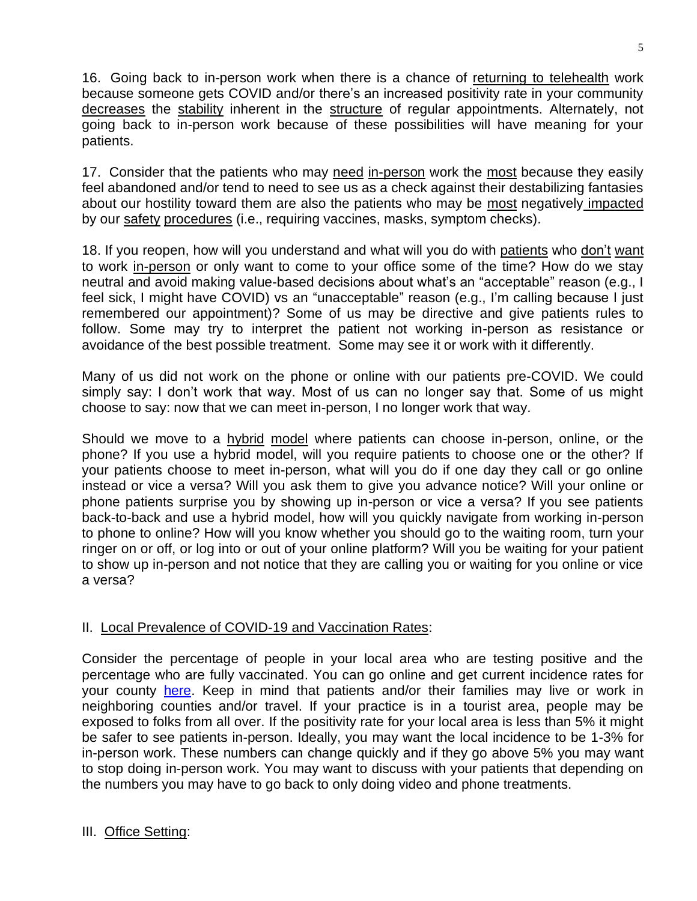16. Going back to in-person work when there is a chance of returning to telehealth work because someone gets COVID and/or there's an increased positivity rate in your community decreases the stability inherent in the structure of regular appointments. Alternately, not going back to in-person work because of these possibilities will have meaning for your patients.

17. Consider that the patients who may need in-person work the most because they easily feel abandoned and/or tend to need to see us as a check against their destabilizing fantasies about our hostility toward them are also the patients who may be most negatively impacted by our safety procedures (i.e., requiring vaccines, masks, symptom checks).

18. If you reopen, how will you understand and what will you do with patients who don't want to work in-person or only want to come to your office some of the time? How do we stay neutral and avoid making value-based decisions about what's an "acceptable" reason (e.g., I feel sick, I might have COVID) vs an "unacceptable" reason (e.g., I'm calling because I just remembered our appointment)? Some of us may be directive and give patients rules to follow. Some may try to interpret the patient not working in-person as resistance or avoidance of the best possible treatment. Some may see it or work with it differently.

Many of us did not work on the phone or online with our patients pre-COVID. We could simply say: I don't work that way. Most of us can no longer say that. Some of us might choose to say: now that we can meet in-person, I no longer work that way.

Should we move to a hybrid model where patients can choose in-person, online, or the phone? If you use a hybrid model, will you require patients to choose one or the other? If your patients choose to meet in-person, what will you do if one day they call or go online instead or vice a versa? Will you ask them to give you advance notice? Will your online or phone patients surprise you by showing up in-person or vice a versa? If you see patients back-to-back and use a hybrid model, how will you quickly navigate from working in-person to phone to online? How will you know whether you should go to the waiting room, turn your ringer on or off, or log into or out of your online platform? Will you be waiting for your patient to show up in-person and not notice that they are calling you or waiting for you online or vice a versa?

## II. Local Prevalence of COVID-19 and Vaccination Rates:

Consider the percentage of people in your local area who are testing positive and the percentage who are fully vaccinated. You can go online and get current incidence rates for your county [here.](https://globalepidemics.org/key-metrics-for-covid-suppression/) Keep in mind that patients and/or their families may live or work in neighboring counties and/or travel. If your practice is in a tourist area, people may be exposed to folks from all over. If the positivity rate for your local area is less than 5% it might be safer to see patients in-person. Ideally, you may want the local incidence to be 1-3% for in-person work. These numbers can change quickly and if they go above 5% you may want to stop doing in-person work. You may want to discuss with your patients that depending on the numbers you may have to go back to only doing video and phone treatments.

## III. Office Setting: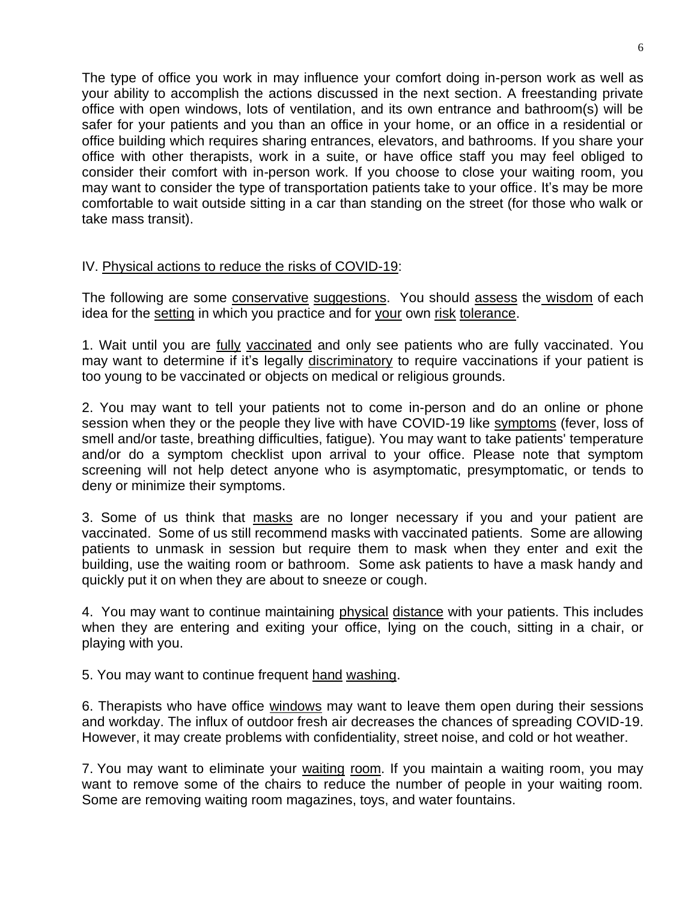The type of office you work in may influence your comfort doing in-person work as well as your ability to accomplish the actions discussed in the next section. A freestanding private office with open windows, lots of ventilation, and its own entrance and bathroom(s) will be safer for your patients and you than an office in your home, or an office in a residential or office building which requires sharing entrances, elevators, and bathrooms. If you share your office with other therapists, work in a suite, or have office staff you may feel obliged to consider their comfort with in-person work. If you choose to close your waiting room, you may want to consider the type of transportation patients take to your office. It's may be more comfortable to wait outside sitting in a car than standing on the street (for those who walk or take mass transit).

#### IV. Physical actions to reduce the risks of COVID-19:

The following are some conservative suggestions. You should assess the wisdom of each idea for the setting in which you practice and for your own risk tolerance.

1. Wait until you are fully vaccinated and only see patients who are fully vaccinated. You may want to determine if it's legally discriminatory to require vaccinations if your patient is too young to be vaccinated or objects on medical or religious grounds.

2. You may want to tell your patients not to come in-person and do an online or phone session when they or the people they live with have COVID-19 like symptoms (fever, loss of smell and/or taste, breathing difficulties, fatigue). You may want to take patients' temperature and/or do a symptom checklist upon arrival to your office. Please note that symptom screening will not help detect anyone who is asymptomatic, presymptomatic, or tends to deny or minimize their symptoms.

3. Some of us think that masks are no longer necessary if you and your patient are vaccinated. Some of us still recommend masks with vaccinated patients. Some are allowing patients to unmask in session but require them to mask when they enter and exit the building, use the waiting room or bathroom. Some ask patients to have a mask handy and quickly put it on when they are about to sneeze or cough.

4. You may want to continue maintaining physical distance with your patients. This includes when they are entering and exiting your office, lying on the couch, sitting in a chair, or playing with you.

5. You may want to continue frequent hand washing.

6. Therapists who have office windows may want to leave them open during their sessions and workday. The influx of outdoor fresh air decreases the chances of spreading COVID-19. However, it may create problems with confidentiality, street noise, and cold or hot weather.

7. You may want to eliminate your waiting room. If you maintain a waiting room, you may want to remove some of the chairs to reduce the number of people in your waiting room. Some are removing waiting room magazines, toys, and water fountains.